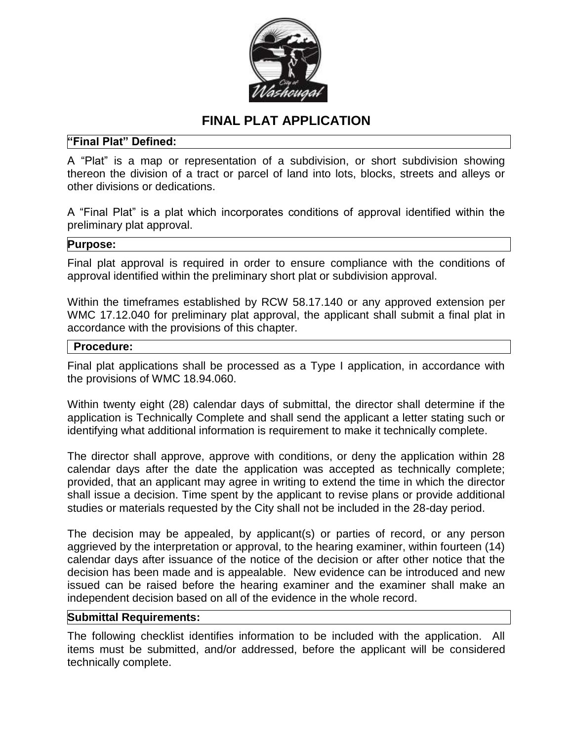

# **FINAL PLAT APPLICATION**

## **"Final Plat" Defined:**

A "Plat" is a map or representation of a subdivision, or short subdivision showing thereon the division of a tract or parcel of land into lots, blocks, streets and alleys or other divisions or dedications.

A "Final Plat" is a plat which incorporates conditions of approval identified within the preliminary plat approval.

#### **Purpose:**

Final plat approval is required in order to ensure compliance with the conditions of approval identified within the preliminary short plat or subdivision approval.

Within the timeframes established by RCW 58.17.140 or any approved extension per WMC 17.12.040 for preliminary plat approval, the applicant shall submit a final plat in accordance with the provisions of this chapter.

### **Procedure:**

Final plat applications shall be processed as a Type I application, in accordance with the provisions of WMC 18.94.060.

Within twenty eight (28) calendar days of submittal, the director shall determine if the application is Technically Complete and shall send the applicant a letter stating such or identifying what additional information is requirement to make it technically complete.

The director shall approve, approve with conditions, or deny the application within 28 calendar days after the date the application was accepted as technically complete; provided, that an applicant may agree in writing to extend the time in which the director shall issue a decision. Time spent by the applicant to revise plans or provide additional studies or materials requested by the City shall not be included in the 28-day period.

The decision may be appealed, by applicant(s) or parties of record, or any person aggrieved by the interpretation or approval, to the hearing examiner, within fourteen (14) calendar days after issuance of the notice of the decision or after other notice that the decision has been made and is appealable. New evidence can be introduced and new issued can be raised before the hearing examiner and the examiner shall make an independent decision based on all of the evidence in the whole record.

### **Submittal Requirements:**

The following checklist identifies information to be included with the application. All items must be submitted, and/or addressed, before the applicant will be considered technically complete.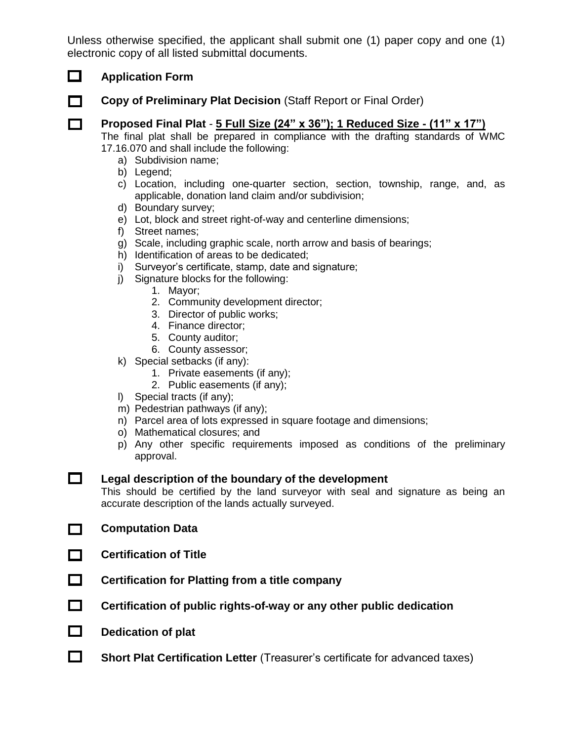Unless otherwise specified, the applicant shall submit one (1) paper copy and one (1) electronic copy of all listed submittal documents.

## **Application Form**

 $\Box$ 

**Copy of Preliminary Plat Decision** (Staff Report or Final Order)

## **Proposed Final Plat** - **5 Full Size (24" x 36"); 1 Reduced Size - (11" x 17")**

The final plat shall be prepared in compliance with the drafting standards of WMC 17.16.070 and shall include the following:

- a) Subdivision name;
- b) Legend;
- c) Location, including one-quarter section, section, township, range, and, as applicable, donation land claim and/or subdivision;
- d) Boundary survey;
- e) Lot, block and street right-of-way and centerline dimensions;
- f) Street names;
- g) Scale, including graphic scale, north arrow and basis of bearings;
- h) Identification of areas to be dedicated;
- i) Surveyor's certificate, stamp, date and signature;
- j) Signature blocks for the following:
	- 1. Mayor;
	- 2. Community development director;
	- 3. Director of public works;
	- 4. Finance director;
	- 5. County auditor;
	- 6. County assessor;
- k) Special setbacks (if any):
	- 1. Private easements (if any);
	- 2. Public easements (if any);
- l) Special tracts (if any);
- m) Pedestrian pathways (if any);
- n) Parcel area of lots expressed in square footage and dimensions;
- o) Mathematical closures; and
- p) Any other specific requirements imposed as conditions of the preliminary approval.

 $\Box$ **Legal description of the boundary of the development**

This should be certified by the land surveyor with seal and signature as being an accurate description of the lands actually surveyed.

- $\Box$ **Computation Data**
- **Certification of Title** П.
- $\Box$ **Certification for Platting from a title company**
- $\Box$ **Certification of public rights-of-way or any other public dedication**
- $\Box$ **Dedication of plat**
- $\Box$ **Short Plat Certification Letter** (Treasurer's certificate for advanced taxes)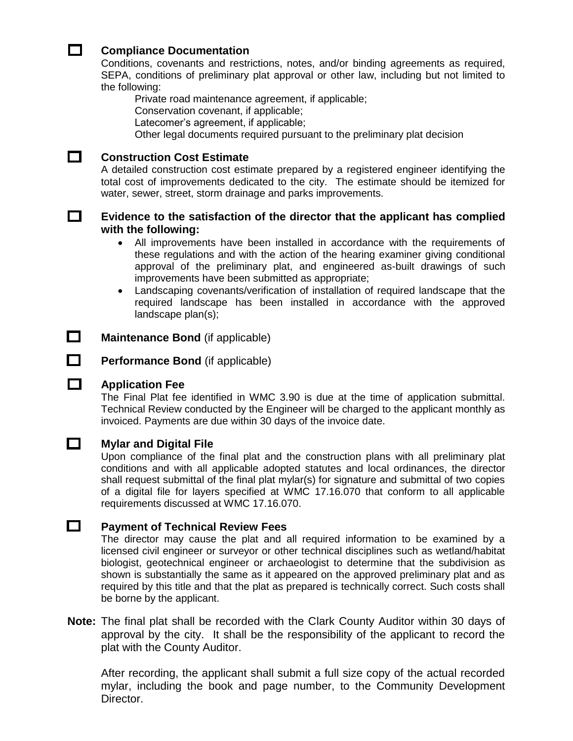#### **Compliance Documentation**

Conditions, covenants and restrictions, notes, and/or binding agreements as required, SEPA, conditions of preliminary plat approval or other law, including but not limited to the following:

Private road maintenance agreement, if applicable;

Conservation covenant, if applicable;

Latecomer's agreement, if applicable;

Other legal documents required pursuant to the preliminary plat decision



 $\Box$ 

#### **Construction Cost Estimate**

A detailed construction cost estimate prepared by a registered engineer identifying the total cost of improvements dedicated to the city. The estimate should be itemized for water, sewer, street, storm drainage and parks improvements.

### **Evidence to the satisfaction of the director that the applicant has complied with the following:**

- All improvements have been installed in accordance with the requirements of these regulations and with the action of the hearing examiner giving conditional approval of the preliminary plat, and engineered as-built drawings of such improvements have been submitted as appropriate;
- Landscaping covenants/verification of installation of required landscape that the required landscape has been installed in accordance with the approved landscape plan(s);

 $\Box$ **Maintenance Bond** (if applicable)

**Performance Bond** (if applicable)

## **Application Fee**

The Final Plat fee identified in WMC 3.90 is due at the time of application submittal. Technical Review conducted by the Engineer will be charged to the applicant monthly as invoiced. Payments are due within 30 days of the invoice date.



О.

#### **Mylar and Digital File**

Upon compliance of the final plat and the construction plans with all preliminary plat conditions and with all applicable adopted statutes and local ordinances, the director shall request submittal of the final plat mylar(s) for signature and submittal of two copies of a digital file for layers specified at WMC 17.16.070 that conform to all applicable requirements discussed at WMC 17.16.070.

#### $\Box$ **Payment of Technical Review Fees**

The director may cause the plat and all required information to be examined by a licensed civil engineer or surveyor or other technical disciplines such as wetland/habitat biologist, geotechnical engineer or archaeologist to determine that the subdivision as shown is substantially the same as it appeared on the approved preliminary plat and as required by this title and that the plat as prepared is technically correct. Such costs shall be borne by the applicant.

**Note:** The final plat shall be recorded with the Clark County Auditor within 30 days of approval by the city. It shall be the responsibility of the applicant to record the plat with the County Auditor.

After recording, the applicant shall submit a full size copy of the actual recorded mylar, including the book and page number, to the Community Development Director.